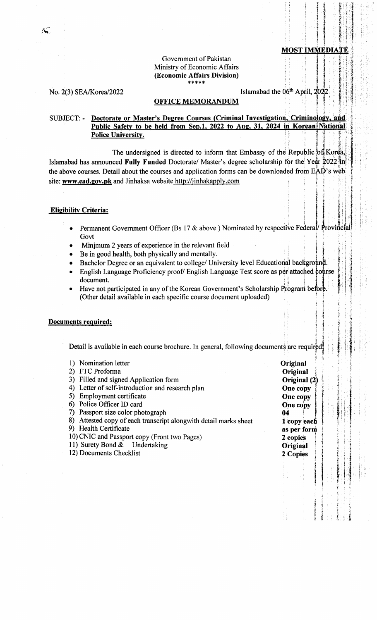#### Government of Pakistan Ministry of Economic Affairs (Economic Affairs Division) \*\*\*\*\*

No. 2(3) SEA/Korea/2022

Islamabad the 06<sup>th</sup> April, 2022

### **OFFICE MEMORANDUM**

# SUBJECT: - Doctorate or Master's Degree Courses (Criminal Investigation, Criminology, and Public Safety to be held from Sep.1, 2022 to Aug, 31, 2024 in Korean National **Police University.**

The undersigned is directed to inform that Embassy of the Republic of Korea, Islamabad has announced Fully Funded Doctorate/ Master's degree scholarship for the Year 2022 in the above courses. Detail about the courses and application forms can be downloaded from EAD's web site: www.ead.gov.pk and Jinhaksa website http://jinhakapply.com

### **Eligibility Criteria:**

- Permanent Government Officer (Bs 17 & above) Nominated by respective Federal/ Provincial Govt
- Minimum 2 years of experience in the relevant field
- Be in good health, both physically and mentally.
- Bachelor Degree or an equivalent to college/ University level Educational background.
- English Language Proficiency proof/ English Language Test score as per attached course document.
- Have not participated in any of the Korean Government's Scholarship Program before (Other detail available in each specific course document uploaded)

## **Documents required:**

Detail is available in each course brochure. In general, following documents are required

| Nomination letter                                                   | Original     |  |
|---------------------------------------------------------------------|--------------|--|
| FTC Proforma<br>2)                                                  | Original     |  |
| Filled and signed Application form<br>3)                            | Original (2) |  |
| Letter of self-introduction and research plan<br>4)                 | One copy     |  |
| Employment certificate<br>5)                                        | One copy     |  |
| Police Officer ID card<br>6)                                        | One copy     |  |
| Passport size color photograph<br>7)                                | 04           |  |
| Attested copy of each transcript alongwith detail marks sheet<br>8) | 1 copy each  |  |
| Health Certificate<br>9)                                            | as per form  |  |
| 10) CNIC and Passport copy (Front two Pages)                        | 2 copies     |  |
| 11) Surety Bond & Undertaking                                       | Original     |  |
| 12) Documents Checklist                                             | 2 Copies     |  |
|                                                                     |              |  |
|                                                                     |              |  |
|                                                                     |              |  |
|                                                                     |              |  |
|                                                                     |              |  |
|                                                                     |              |  |
|                                                                     |              |  |